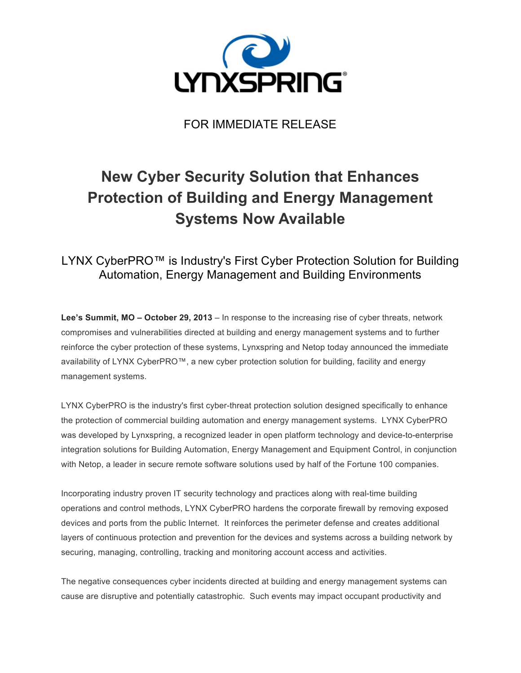

FOR IMMEDIATE RELEASE

## **New Cyber Security Solution that Enhances Protection of Building and Energy Management Systems Now Available**

## LYNX CyberPRO™ is Industry's First Cyber Protection Solution for Building Automation, Energy Management and Building Environments

**Lee's Summit, MO – October 29, 2013** – In response to the increasing rise of cyber threats, network compromises and vulnerabilities directed at building and energy management systems and to further reinforce the cyber protection of these systems, Lynxspring and Netop today announced the immediate availability of LYNX CyberPRO™, a new cyber protection solution for building, facility and energy management systems.

LYNX CyberPRO is the industry's first cyber-threat protection solution designed specifically to enhance the protection of commercial building automation and energy management systems. LYNX CyberPRO was developed by Lynxspring, a recognized leader in open platform technology and device-to-enterprise integration solutions for Building Automation, Energy Management and Equipment Control, in conjunction with Netop, a leader in secure remote software solutions used by half of the Fortune 100 companies.

Incorporating industry proven IT security technology and practices along with real-time building operations and control methods, LYNX CyberPRO hardens the corporate firewall by removing exposed devices and ports from the public Internet. It reinforces the perimeter defense and creates additional layers of continuous protection and prevention for the devices and systems across a building network by securing, managing, controlling, tracking and monitoring account access and activities.

The negative consequences cyber incidents directed at building and energy management systems can cause are disruptive and potentially catastrophic. Such events may impact occupant productivity and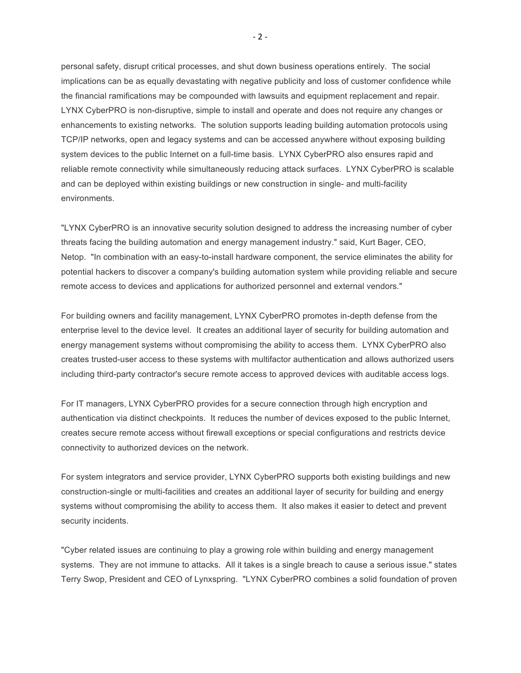personal safety, disrupt critical processes, and shut down business operations entirely. The social implications can be as equally devastating with negative publicity and loss of customer confidence while the financial ramifications may be compounded with lawsuits and equipment replacement and repair. LYNX CyberPRO is non-disruptive, simple to install and operate and does not require any changes or enhancements to existing networks. The solution supports leading building automation protocols using TCP/IP networks, open and legacy systems and can be accessed anywhere without exposing building system devices to the public Internet on a full-time basis. LYNX CyberPRO also ensures rapid and reliable remote connectivity while simultaneously reducing attack surfaces. LYNX CyberPRO is scalable and can be deployed within existing buildings or new construction in single- and multi-facility environments.

"LYNX CyberPRO is an innovative security solution designed to address the increasing number of cyber threats facing the building automation and energy management industry." said, Kurt Bager, CEO, Netop. "In combination with an easy-to-install hardware component, the service eliminates the ability for potential hackers to discover a company's building automation system while providing reliable and secure remote access to devices and applications for authorized personnel and external vendors."

For building owners and facility management, LYNX CyberPRO promotes in-depth defense from the enterprise level to the device level. It creates an additional layer of security for building automation and energy management systems without compromising the ability to access them. LYNX CyberPRO also creates trusted-user access to these systems with multifactor authentication and allows authorized users including third-party contractor's secure remote access to approved devices with auditable access logs.

For IT managers, LYNX CyberPRO provides for a secure connection through high encryption and authentication via distinct checkpoints. It reduces the number of devices exposed to the public Internet, creates secure remote access without firewall exceptions or special configurations and restricts device connectivity to authorized devices on the network.

For system integrators and service provider, LYNX CyberPRO supports both existing buildings and new construction-single or multi-facilities and creates an additional layer of security for building and energy systems without compromising the ability to access them. It also makes it easier to detect and prevent security incidents.

"Cyber related issues are continuing to play a growing role within building and energy management systems. They are not immune to attacks. All it takes is a single breach to cause a serious issue." states Terry Swop, President and CEO of Lynxspring. "LYNX CyberPRO combines a solid foundation of proven

- 2 -